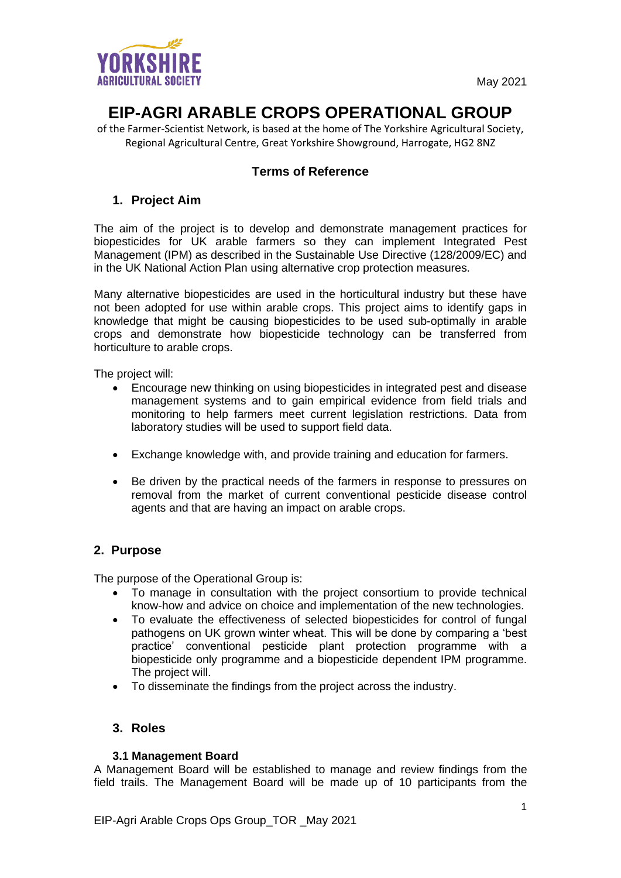

# **EIP-AGRI ARABLE CROPS OPERATIONAL GROUP**

of the Farmer-Scientist Network, is based at the home of The Yorkshire Agricultural Society, Regional Agricultural Centre, Great Yorkshire Showground, Harrogate, HG2 8NZ

# **Terms of Reference**

## **1. Project Aim**

The aim of the project is to develop and demonstrate management practices for biopesticides for UK arable farmers so they can implement Integrated Pest Management (IPM) as described in the Sustainable Use Directive (128/2009/EC) and in the UK National Action Plan using alternative crop protection measures.

Many alternative biopesticides are used in the horticultural industry but these have not been adopted for use within arable crops. This project aims to identify gaps in knowledge that might be causing biopesticides to be used sub-optimally in arable crops and demonstrate how biopesticide technology can be transferred from horticulture to arable crops.

The project will:

- Encourage new thinking on using biopesticides in integrated pest and disease management systems and to gain empirical evidence from field trials and monitoring to help farmers meet current legislation restrictions. Data from laboratory studies will be used to support field data.
- Exchange knowledge with, and provide training and education for farmers.
- Be driven by the practical needs of the farmers in response to pressures on removal from the market of current conventional pesticide disease control agents and that are having an impact on arable crops.

## **2. Purpose**

The purpose of the Operational Group is:

- To manage in consultation with the project consortium to provide technical know-how and advice on choice and implementation of the new technologies.
- To evaluate the effectiveness of selected biopesticides for control of fungal pathogens on UK grown winter wheat. This will be done by comparing a 'best practice' conventional pesticide plant protection programme with a biopesticide only programme and a biopesticide dependent IPM programme. The project will.
- To disseminate the findings from the project across the industry.

## **3. Roles**

#### **3.1 Management Board**

A Management Board will be established to manage and review findings from the field trails. The Management Board will be made up of 10 participants from the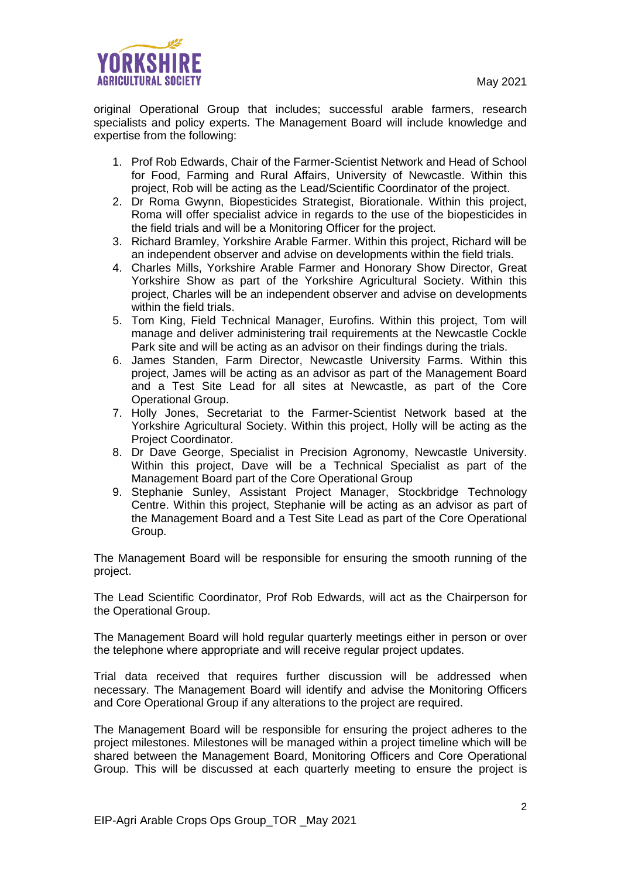

original Operational Group that includes; successful arable farmers, research specialists and policy experts. The Management Board will include knowledge and expertise from the following:

- 1. Prof Rob Edwards, Chair of the Farmer-Scientist Network and Head of School for Food, Farming and Rural Affairs, University of Newcastle. Within this project, Rob will be acting as the Lead/Scientific Coordinator of the project.
- 2. Dr Roma Gwynn, Biopesticides Strategist, Biorationale. Within this project, Roma will offer specialist advice in regards to the use of the biopesticides in the field trials and will be a Monitoring Officer for the project.
- 3. Richard Bramley, Yorkshire Arable Farmer. Within this project, Richard will be an independent observer and advise on developments within the field trials.
- 4. Charles Mills, Yorkshire Arable Farmer and Honorary Show Director, Great Yorkshire Show as part of the Yorkshire Agricultural Society. Within this project, Charles will be an independent observer and advise on developments within the field trials.
- 5. Tom King, Field Technical Manager, Eurofins. Within this project, Tom will manage and deliver administering trail requirements at the Newcastle Cockle Park site and will be acting as an advisor on their findings during the trials.
- 6. James Standen, Farm Director, Newcastle University Farms. Within this project, James will be acting as an advisor as part of the Management Board and a Test Site Lead for all sites at Newcastle, as part of the Core Operational Group.
- 7. Holly Jones, Secretariat to the Farmer-Scientist Network based at the Yorkshire Agricultural Society. Within this project, Holly will be acting as the Project Coordinator.
- 8. Dr Dave George, Specialist in Precision Agronomy, Newcastle University. Within this project, Dave will be a Technical Specialist as part of the Management Board part of the Core Operational Group
- 9. Stephanie Sunley, Assistant Project Manager, Stockbridge Technology Centre. Within this project, Stephanie will be acting as an advisor as part of the Management Board and a Test Site Lead as part of the Core Operational Group.

The Management Board will be responsible for ensuring the smooth running of the project.

The Lead Scientific Coordinator, Prof Rob Edwards, will act as the Chairperson for the Operational Group.

The Management Board will hold regular quarterly meetings either in person or over the telephone where appropriate and will receive regular project updates.

Trial data received that requires further discussion will be addressed when necessary. The Management Board will identify and advise the Monitoring Officers and Core Operational Group if any alterations to the project are required.

The Management Board will be responsible for ensuring the project adheres to the project milestones. Milestones will be managed within a project timeline which will be shared between the Management Board, Monitoring Officers and Core Operational Group. This will be discussed at each quarterly meeting to ensure the project is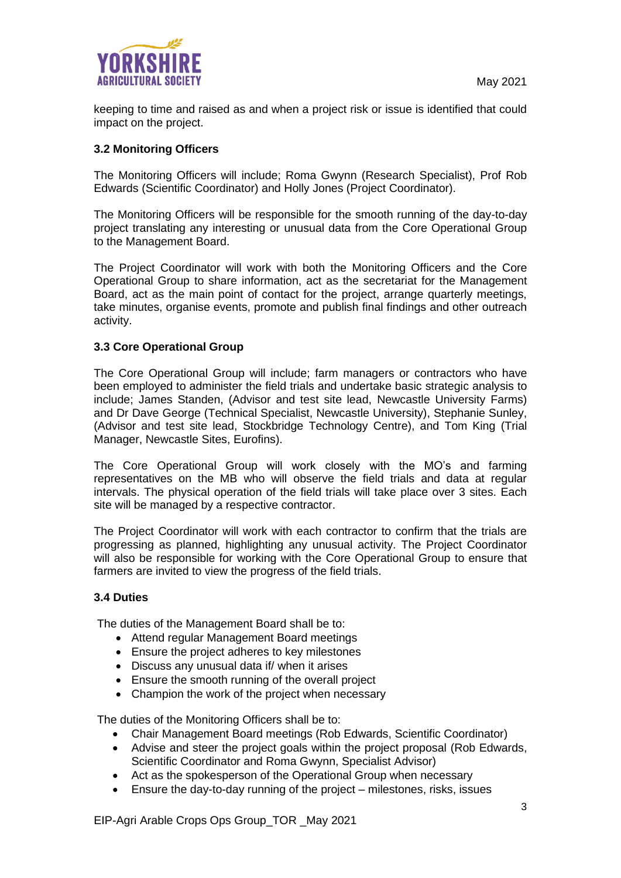

keeping to time and raised as and when a project risk or issue is identified that could impact on the project.

#### **3.2 Monitoring Officers**

The Monitoring Officers will include; Roma Gwynn (Research Specialist), Prof Rob Edwards (Scientific Coordinator) and Holly Jones (Project Coordinator).

The Monitoring Officers will be responsible for the smooth running of the day-to-day project translating any interesting or unusual data from the Core Operational Group to the Management Board.

The Project Coordinator will work with both the Monitoring Officers and the Core Operational Group to share information, act as the secretariat for the Management Board, act as the main point of contact for the project, arrange quarterly meetings, take minutes, organise events, promote and publish final findings and other outreach activity.

#### **3.3 Core Operational Group**

The Core Operational Group will include; farm managers or contractors who have been employed to administer the field trials and undertake basic strategic analysis to include; James Standen, (Advisor and test site lead, Newcastle University Farms) and Dr Dave George (Technical Specialist, Newcastle University), Stephanie Sunley, (Advisor and test site lead, Stockbridge Technology Centre), and Tom King (Trial Manager, Newcastle Sites, Eurofins).

The Core Operational Group will work closely with the MO's and farming representatives on the MB who will observe the field trials and data at regular intervals. The physical operation of the field trials will take place over 3 sites. Each site will be managed by a respective contractor.

The Project Coordinator will work with each contractor to confirm that the trials are progressing as planned, highlighting any unusual activity. The Project Coordinator will also be responsible for working with the Core Operational Group to ensure that farmers are invited to view the progress of the field trials.

#### **3.4 Duties**

The duties of the Management Board shall be to:

- Attend regular Management Board meetings
- Ensure the project adheres to key milestones
- Discuss any unusual data if/ when it arises
- Ensure the smooth running of the overall project
- Champion the work of the project when necessary

The duties of the Monitoring Officers shall be to:

- Chair Management Board meetings (Rob Edwards, Scientific Coordinator)
- Advise and steer the project goals within the project proposal (Rob Edwards, Scientific Coordinator and Roma Gwynn, Specialist Advisor)
- Act as the spokesperson of the Operational Group when necessary
- Ensure the day-to-day running of the project milestones, risks, issues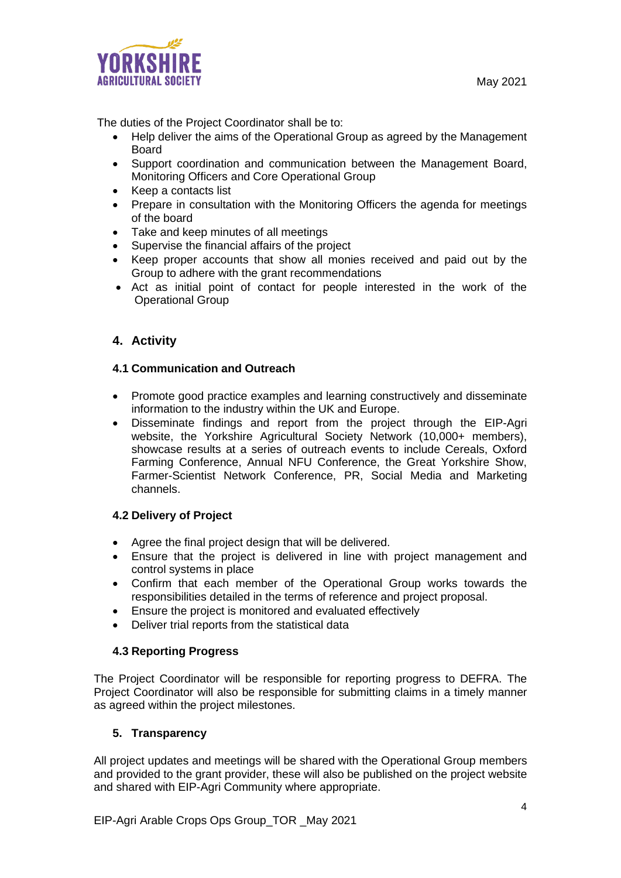

The duties of the Project Coordinator shall be to:

- Help deliver the aims of the Operational Group as agreed by the Management Board
- Support coordination and communication between the Management Board, Monitoring Officers and Core Operational Group
- Keep a contacts list
- Prepare in consultation with the Monitoring Officers the agenda for meetings of the board
- Take and keep minutes of all meetings
- Supervise the financial affairs of the project
- Keep proper accounts that show all monies received and paid out by the Group to adhere with the grant recommendations
- Act as initial point of contact for people interested in the work of the Operational Group

## **4. Activity**

#### **4.1 Communication and Outreach**

- Promote good practice examples and learning constructively and disseminate information to the industry within the UK and Europe.
- Disseminate findings and report from the project through the EIP-Agri website, the Yorkshire Agricultural Society Network (10,000+ members), showcase results at a series of outreach events to include Cereals, Oxford Farming Conference, Annual NFU Conference, the Great Yorkshire Show, Farmer-Scientist Network Conference, PR, Social Media and Marketing channels.

#### **4.2 Delivery of Project**

- Agree the final project design that will be delivered.
- Ensure that the project is delivered in line with project management and control systems in place
- Confirm that each member of the Operational Group works towards the responsibilities detailed in the terms of reference and project proposal.
- Ensure the project is monitored and evaluated effectively
- Deliver trial reports from the statistical data

#### **4.3 Reporting Progress**

The Project Coordinator will be responsible for reporting progress to DEFRA. The Project Coordinator will also be responsible for submitting claims in a timely manner as agreed within the project milestones.

#### **5. Transparency**

All project updates and meetings will be shared with the Operational Group members and provided to the grant provider, these will also be published on the project website and shared with EIP-Agri Community where appropriate.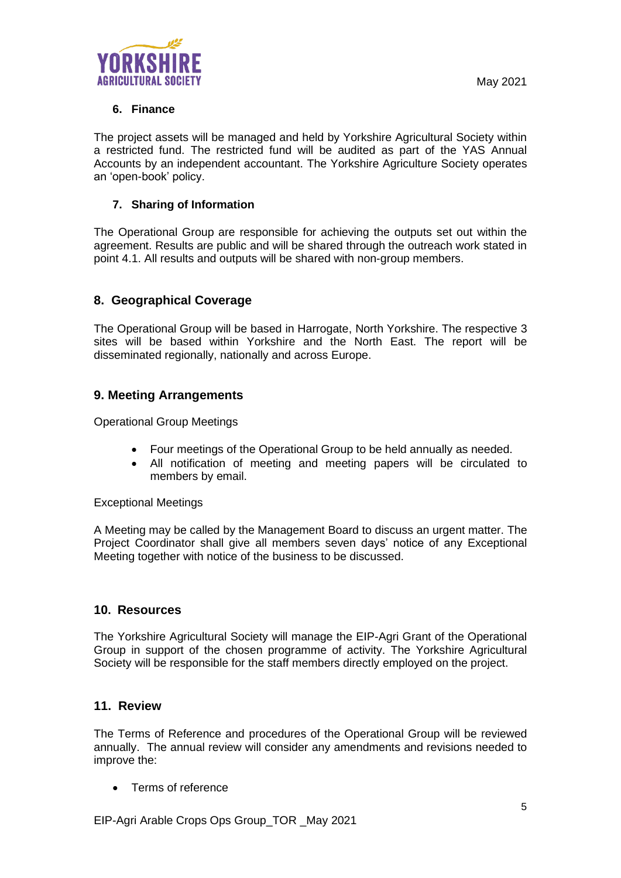

## **6. Finance**

The project assets will be managed and held by Yorkshire Agricultural Society within a restricted fund. The restricted fund will be audited as part of the YAS Annual Accounts by an independent accountant. The Yorkshire Agriculture Society operates an 'open-book' policy.

### **7. Sharing of Information**

The Operational Group are responsible for achieving the outputs set out within the agreement. Results are public and will be shared through the outreach work stated in point 4.1. All results and outputs will be shared with non-group members.

## **8. Geographical Coverage**

The Operational Group will be based in Harrogate, North Yorkshire. The respective 3 sites will be based within Yorkshire and the North East. The report will be disseminated regionally, nationally and across Europe.

## **9. Meeting Arrangements**

Operational Group Meetings

- Four meetings of the Operational Group to be held annually as needed.
- All notification of meeting and meeting papers will be circulated to members by email.

Exceptional Meetings

A Meeting may be called by the Management Board to discuss an urgent matter. The Project Coordinator shall give all members seven days' notice of any Exceptional Meeting together with notice of the business to be discussed.

## **10. Resources**

The Yorkshire Agricultural Society will manage the EIP-Agri Grant of the Operational Group in support of the chosen programme of activity. The Yorkshire Agricultural Society will be responsible for the staff members directly employed on the project.

#### **11. Review**

The Terms of Reference and procedures of the Operational Group will be reviewed annually. The annual review will consider any amendments and revisions needed to improve the:

• Terms of reference